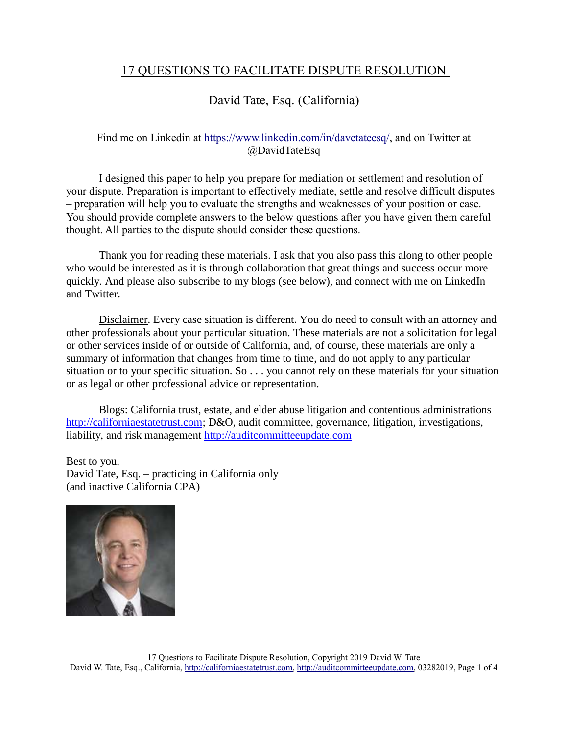## 17 QUESTIONS TO FACILITATE DISPUTE RESOLUTION

## David Tate, Esq. (California)

## Find me on Linkedin at [https://www.linkedin.com/in/davetateesq/,](https://www.linkedin.com/in/davetateesq/) and on Twitter at @DavidTateEsq

I designed this paper to help you prepare for mediation or settlement and resolution of your dispute. Preparation is important to effectively mediate, settle and resolve difficult disputes – preparation will help you to evaluate the strengths and weaknesses of your position or case. You should provide complete answers to the below questions after you have given them careful thought. All parties to the dispute should consider these questions.

Thank you for reading these materials. I ask that you also pass this along to other people who would be interested as it is through collaboration that great things and success occur more quickly. And please also subscribe to my blogs (see below), and connect with me on LinkedIn and Twitter.

Disclaimer. Every case situation is different. You do need to consult with an attorney and other professionals about your particular situation. These materials are not a solicitation for legal or other services inside of or outside of California, and, of course, these materials are only a summary of information that changes from time to time, and do not apply to any particular situation or to your specific situation. So . . . you cannot rely on these materials for your situation or as legal or other professional advice or representation.

Blogs: California trust, estate, and elder abuse litigation and contentious administrations [http://californiaestatetrust.com;](http://californiaestatetrust.com/) D&O, audit committee, governance, litigation, investigations, liability, and risk management [http://auditcommitteeupdate.com](http://auditcommitteeupdate.com/)

Best to you, David Tate, Esq. – practicing in California only (and inactive California CPA)

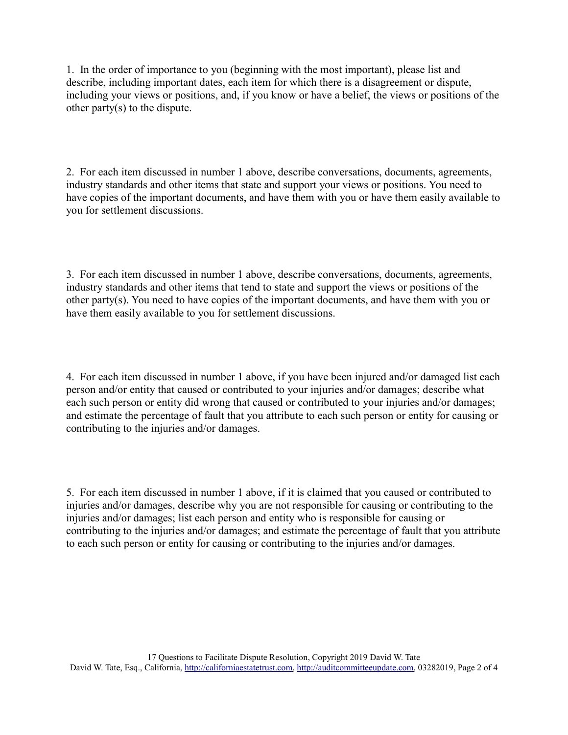1. In the order of importance to you (beginning with the most important), please list and describe, including important dates, each item for which there is a disagreement or dispute, including your views or positions, and, if you know or have a belief, the views or positions of the other party(s) to the dispute.

2. For each item discussed in number 1 above, describe conversations, documents, agreements, industry standards and other items that state and support your views or positions. You need to have copies of the important documents, and have them with you or have them easily available to you for settlement discussions.

3. For each item discussed in number 1 above, describe conversations, documents, agreements, industry standards and other items that tend to state and support the views or positions of the other party(s). You need to have copies of the important documents, and have them with you or have them easily available to you for settlement discussions.

4. For each item discussed in number 1 above, if you have been injured and/or damaged list each person and/or entity that caused or contributed to your injuries and/or damages; describe what each such person or entity did wrong that caused or contributed to your injuries and/or damages; and estimate the percentage of fault that you attribute to each such person or entity for causing or contributing to the injuries and/or damages.

5. For each item discussed in number 1 above, if it is claimed that you caused or contributed to injuries and/or damages, describe why you are not responsible for causing or contributing to the injuries and/or damages; list each person and entity who is responsible for causing or contributing to the injuries and/or damages; and estimate the percentage of fault that you attribute to each such person or entity for causing or contributing to the injuries and/or damages.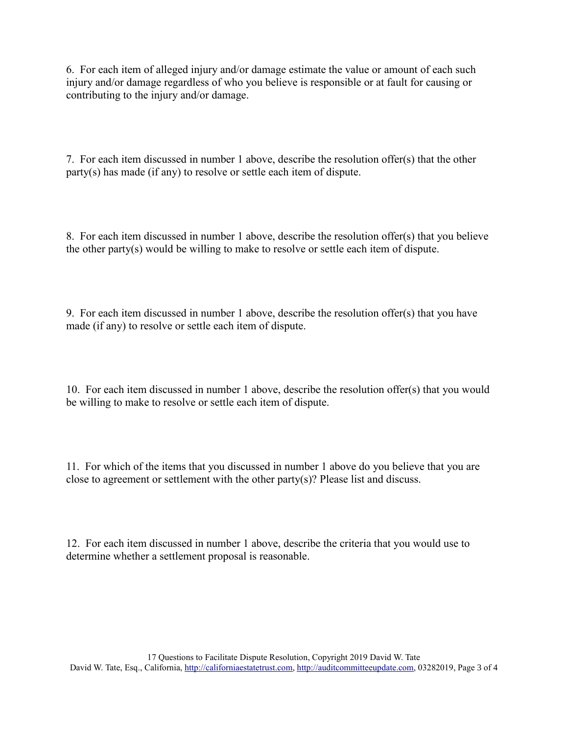6. For each item of alleged injury and/or damage estimate the value or amount of each such injury and/or damage regardless of who you believe is responsible or at fault for causing or contributing to the injury and/or damage.

7. For each item discussed in number 1 above, describe the resolution offer(s) that the other party(s) has made (if any) to resolve or settle each item of dispute.

8. For each item discussed in number 1 above, describe the resolution offer(s) that you believe the other party(s) would be willing to make to resolve or settle each item of dispute.

9. For each item discussed in number 1 above, describe the resolution offer(s) that you have made (if any) to resolve or settle each item of dispute.

10. For each item discussed in number 1 above, describe the resolution offer(s) that you would be willing to make to resolve or settle each item of dispute.

11. For which of the items that you discussed in number 1 above do you believe that you are close to agreement or settlement with the other party(s)? Please list and discuss.

12. For each item discussed in number 1 above, describe the criteria that you would use to determine whether a settlement proposal is reasonable.